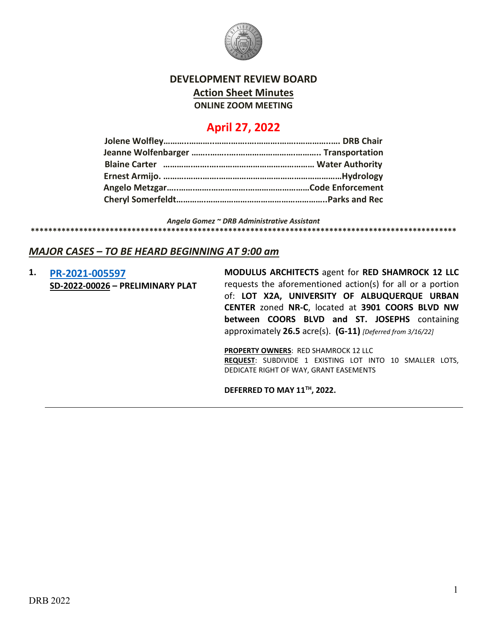

## **DEVELOPMENT REVIEW BOARD Action Sheet Minutes ONLINE ZOOM MEETING**

# **April 27, 2022**

*Angela Gomez ~ DRB Administrative Assistant*

#### **\*\*\*\*\*\*\*\*\*\*\*\*\*\*\*\*\*\*\*\*\*\*\*\*\*\*\*\*\*\*\*\*\*\*\*\*\*\*\*\*\*\*\*\*\*\*\*\*\*\*\*\*\*\*\*\*\*\*\*\*\*\*\*\*\*\*\*\*\*\*\*\*\*\*\*\*\*\*\*\*\*\*\*\*\*\*\*\*\*\*\*\*\*\*\*\*\***

#### *MAJOR CASES – TO BE HEARD BEGINNING AT 9:00 am*

**1. [PR-2021-005597](http://data.cabq.gov/government/planning/DRB/PR-2021-005597/DRB%20Submittals/) SD-2022-00026 – PRELIMINARY PLAT** **MODULUS ARCHITECTS** agent for **RED SHAMROCK 12 LLC** requests the aforementioned action(s) for all or a portion of: **LOT X2A, UNIVERSITY OF ALBUQUERQUE URBAN CENTER** zoned **NR-C**, located at **3901 COORS BLVD NW between COORS BLVD and ST. JOSEPHS** containing approximately **26.5** acre(s). **(G-11)** *[Deferred from 3/16/22]* 

**PROPERTY OWNERS**: RED SHAMROCK 12 LLC **REQUEST**: SUBDIVIDE 1 EXISTING LOT INTO 10 SMALLER LOTS, DEDICATE RIGHT OF WAY, GRANT EASEMENTS

**DEFERRED TO MAY 11TH, 2022.**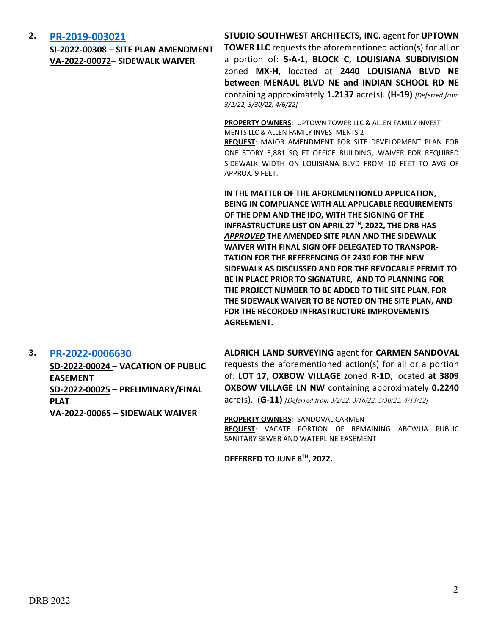#### **2. [PR-2019-003021](http://data.cabq.gov/government/planning/DRB/PR-2019-003021/DRB%20Submittals/)**

**SI-2022-00308 – SITE PLAN AMENDMENT VA-2022-00072– SIDEWALK WAIVER** 

**STUDIO SOUTHWEST ARCHITECTS, INC.** agent for **UPTOWN TOWER LLC** requests the aforementioned action(s) for all or a portion of: **5-A-1, BLOCK C, LOUISIANA SUBDIVISION** zoned **MX-H**, located at **2440 LOUISIANA BLVD NE between MENAUL BLVD NE and INDIAN SCHOOL RD NE**  containing approximately **1.2137** acre(s). **(H-19)** *[Deferred from 3/2/22, 3/30/22, 4/6/22]*

**PROPERTY OWNERS**: UPTOWN TOWER LLC & ALLEN FAMILY INVEST MENTS LLC & ALLEN FAMILY INVESTMENTS 2 **REQUEST**: MAJOR AMENDMENT FOR SITE DEVELOPMENT PLAN FOR ONE STORY 5,881 SQ FT OFFICE BUILDING, WAIVER FOR REQUIRED SIDEWALK WIDTH ON LOUISIANA BLVD FROM 10 FEET TO AVG OF

**IN THE MATTER OF THE AFOREMENTIONED APPLICATION, BEING IN COMPLIANCE WITH ALL APPLICABLE REQUIREMENTS OF THE DPM AND THE IDO, WITH THE SIGNING OF THE INFRASTRUCTURE LIST ON APRIL 27TH, 2022, THE DRB HAS**  *APPROVED* **THE AMENDED SITE PLAN AND THE SIDEWALK WAIVER WITH FINAL SIGN OFF DELEGATED TO TRANSPOR-TATION FOR THE REFERENCING OF 2430 FOR THE NEW SIDEWALK AS DISCUSSED AND FOR THE REVOCABLE PERMIT TO BE IN PLACE PRIOR TO SIGNATURE, AND TO PLANNING FOR THE PROJECT NUMBER TO BE ADDED TO THE SITE PLAN, FOR THE SIDEWALK WAIVER TO BE NOTED ON THE SITE PLAN, AND FOR THE RECORDED INFRASTRUCTURE IMPROVEMENTS AGREEMENT.**

**3. [PR-2022-0006630](http://data.cabq.gov/government/planning/DRB/PR-2022-006630/DRB%20Submittals/PR-2022-006630_April_13_2022_Supp/) SD-2022-00024 – VACATION OF PUBLIC EASEMENT SD-2022-00025 – PRELIMINARY/FINAL PLAT VA-2022-00065 – SIDEWALK WAIVER**

**ALDRICH LAND SURVEYING** agent for **CARMEN SANDOVAL** requests the aforementioned action(s) for all or a portion of: **LOT 17, OXBOW VILLAGE** zoned **R-1D**, located **at 3809 OXBOW VILLAGE LN NW** containing approximately **0.2240** acre(s). (**G-11)** *[Deferred from 3/2/22, 3/16/22, 3/30/22, 4/13/22]*

**PROPERTY OWNERS**: SANDOVAL CARMEN **REQUEST**: VACATE PORTION OF REMAINING ABCWUA PUBLIC SANITARY SEWER AND WATERLINE EASEMENT

**DEFERRED TO JUNE 8TH, 2022.**

APPROX. 9 FEET.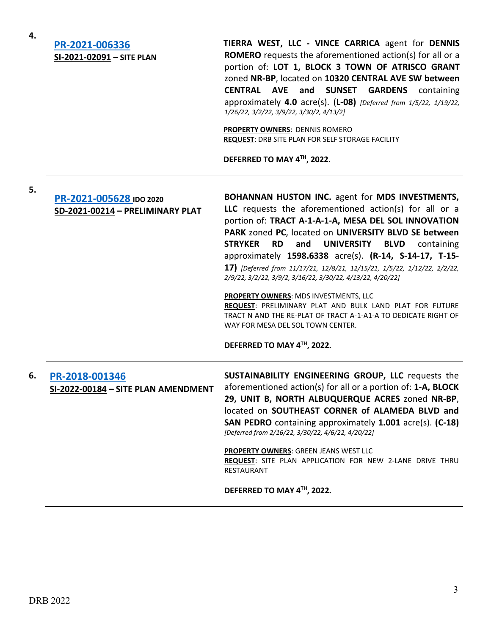| 4. | PR-2021-006336<br>SI-2021-02091 - SITE PLAN                 | TIERRA WEST, LLC - VINCE CARRICA agent for DENNIS<br><b>ROMERO</b> requests the aforementioned action(s) for all or a<br>portion of: LOT 1, BLOCK 3 TOWN OF ATRISCO GRANT<br>zoned NR-BP, located on 10320 CENTRAL AVE SW between<br><b>CENTRAL AVE</b><br>and<br><b>SUNSET</b><br><b>GARDENS</b><br>containing<br>approximately 4.0 acre(s). $(L-08)$ [Deferred from 1/5/22, 1/19/22,<br>1/26/22, 3/2/22, 3/9/22, 3/30/2, 4/13/2]<br><b>PROPERTY OWNERS: DENNIS ROMERO</b><br>REQUEST: DRB SITE PLAN FOR SELF STORAGE FACILITY<br>DEFERRED TO MAY 4TH, 2022.                                                                                                                                                                                                         |
|----|-------------------------------------------------------------|-----------------------------------------------------------------------------------------------------------------------------------------------------------------------------------------------------------------------------------------------------------------------------------------------------------------------------------------------------------------------------------------------------------------------------------------------------------------------------------------------------------------------------------------------------------------------------------------------------------------------------------------------------------------------------------------------------------------------------------------------------------------------|
| 5. | PR-2021-005628 IDO 2020<br>SD-2021-00214 - PRELIMINARY PLAT | BOHANNAN HUSTON INC. agent for MDS INVESTMENTS,<br>LLC requests the aforementioned action(s) for all or a<br>portion of: TRACT A-1-A-1-A, MESA DEL SOL INNOVATION<br>PARK zoned PC, located on UNIVERSITY BLVD SE between<br><b>STRYKER</b><br><b>RD</b><br><b>UNIVERSITY</b><br><b>BLVD</b><br>and<br>containing<br>approximately 1598.6338 acre(s). (R-14, S-14-17, T-15-<br>17) [Deferred from 11/17/21, 12/8/21, 12/15/21, 1/5/22, 1/12/22, 2/2/22,<br>2/9/22, 3/2/22, 3/9/2, 3/16/22, 3/30/22, 4/13/22, 4/20/22]<br><b>PROPERTY OWNERS: MDS INVESTMENTS, LLC</b><br>REQUEST: PRELIMINARY PLAT AND BULK LAND PLAT FOR FUTURE<br>TRACT N AND THE RE-PLAT OF TRACT A-1-A1-A TO DEDICATE RIGHT OF<br>WAY FOR MESA DEL SOL TOWN CENTER.<br>DEFERRED TO MAY 4TH, 2022. |
| 6. | PR-2018-001346<br>SI-2022-00184 - SITE PLAN AMENDMENT       | SUSTAINABILITY ENGINEERING GROUP, LLC requests the<br>aforementioned action(s) for all or a portion of: 1-A, BLOCK<br>29, UNIT B, NORTH ALBUQUERQUE ACRES zoned NR-BP,<br>located on SOUTHEAST CORNER of ALAMEDA BLVD and<br>SAN PEDRO containing approximately 1.001 acre(s). (C-18)<br>[Deferred from 2/16/22, 3/30/22, 4/6/22, 4/20/22]<br>PROPERTY OWNERS: GREEN JEANS WEST LLC<br>REQUEST: SITE PLAN APPLICATION FOR NEW 2-LANE DRIVE THRU<br>RESTAURANT<br>DEFERRED TO MAY 4TH, 2022.                                                                                                                                                                                                                                                                           |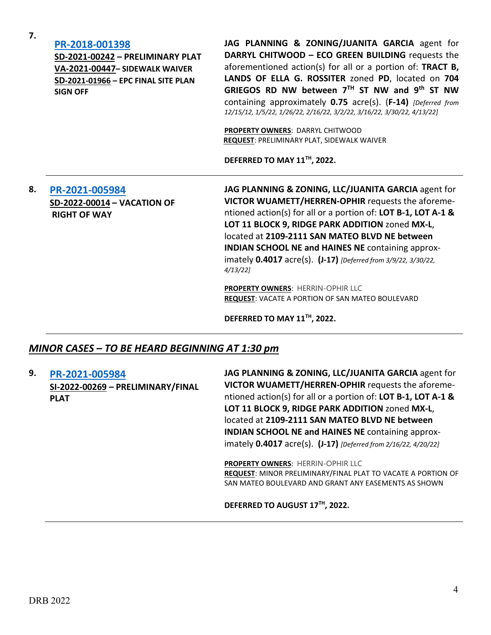**7.**

#### **[PR-2018-001398](http://data.cabq.gov/government/planning/DRB/PR-2018-001398/DRB%20Submittals/)**

**SD-2021-00242 – PRELIMINARY PLAT VA-2021-00447– SIDEWALK WAIVER SD-2021-01966 – EPC FINAL SITE PLAN SIGN OFF**

**JAG PLANNING & ZONING/JUANITA GARCIA** agent for **DARRYL CHITWOOD – ECO GREEN BUILDING** requests the aforementioned action(s) for all or a portion of: **TRACT B, LANDS OF ELLA G. ROSSITER** zoned **PD**, located on **704 GRIEGOS RD NW between 7TH ST NW and 9th ST NW** containing approximately **0.75** acre(s). (**F-14)** *[Deferred from 12/15/12, 1/5/22, 1/26/22, 2/16/22, 3/2/22, 3/16/22, 3/30/22, 4/13/22]*

**PROPERTY OWNERS**: DARRYL CHITWOOD **REQUEST**: PRELIMINARY PLAT, SIDEWALK WAIVER

**DEFERRED TO MAY 11TH, 2022.**

### **8. [PR-2021-005984](http://data.cabq.gov/government/planning/DRB/PR-2021-005984/DRB%20Submittals/) SD-2022-00014 – VACATION OF RIGHT OF WAY**

**JAG PLANNING & ZONING, LLC/JUANITA GARCIA** agent for **VICTOR WUAMETT/HERREN-OPHIR** requests the aforementioned action(s) for all or a portion of: **LOT B-1, LOT A-1 & LOT 11 BLOCK 9, RIDGE PARK ADDITION** zoned **MX-L**, located at **2109-2111 SAN MATEO BLVD NE between INDIAN SCHOOL NE and HAINES NE** containing approximately **0.4017** acre(s). **(J-17)** *[Deferred from 3/9/22, 3/30/22, 4/13/22]* 

**PROPERTY OWNERS**: HERRIN-OPHIR LLC **REQUEST**: VACATE A PORTION OF SAN MATEO BOULEVARD

**DEFERRED TO MAY 11TH, 2022.**

#### *MINOR CASES – TO BE HEARD BEGINNING AT 1:30 pm*

**9. [PR-2021-005984](http://data.cabq.gov/government/planning/DRB/PR-2021-005984/DRB%20Submittals/) SI-2022-00269 – PRELIMINARY/FINAL PLAT**

**JAG PLANNING & ZONING, LLC/JUANITA GARCIA** agent for **VICTOR WUAMETT/HERREN-OPHIR** requests the aforementioned action(s) for all or a portion of: **LOT B-1, LOT A-1 & LOT 11 BLOCK 9, RIDGE PARK ADDITION** zoned **MX-L**, located at **2109-2111 SAN MATEO BLVD NE between INDIAN SCHOOL NE and HAINES NE** containing approximately **0.4017** acre(s). **(J-17)** *[Deferred from 2/16/22, 4/20/22]* 

**PROPERTY OWNERS**: HERRIN-OPHIR LLC **REQUEST**: MINOR PRELIMINARY/FINAL PLAT TO VACATE A PORTION OF SAN MATEO BOULEVARD AND GRANT ANY EASEMENTS AS SHOWN

**DEFERRED TO AUGUST 17TH, 2022.**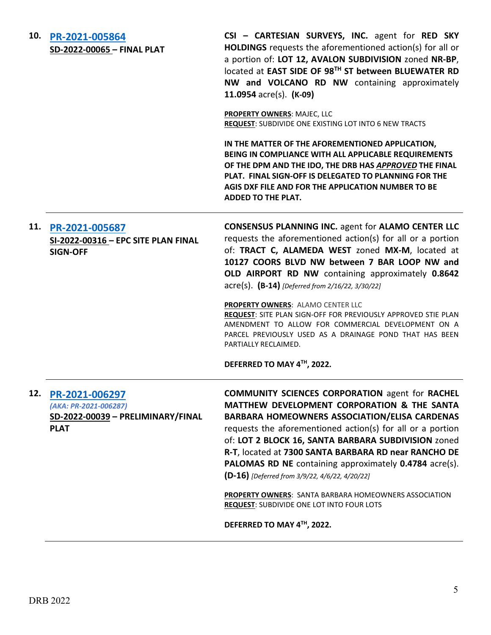| 10. | PR-2021-005864<br>SD-2022-00065 - FINAL PLAT                                                | CSI - CARTESIAN SURVEYS, INC. agent for RED SKY<br>HOLDINGS requests the aforementioned action(s) for all or<br>a portion of: LOT 12, AVALON SUBDIVISION zoned NR-BP,<br>located at EAST SIDE OF 98TH ST between BLUEWATER RD<br>NW and VOLCANO RD NW containing approximately<br>11.0954 $\text{acre}(s)$ . (K-09)                                                                                                                                                                                                                                                 |
|-----|---------------------------------------------------------------------------------------------|---------------------------------------------------------------------------------------------------------------------------------------------------------------------------------------------------------------------------------------------------------------------------------------------------------------------------------------------------------------------------------------------------------------------------------------------------------------------------------------------------------------------------------------------------------------------|
|     |                                                                                             | PROPERTY OWNERS: MAJEC, LLC<br>REQUEST: SUBDIVIDE ONE EXISTING LOT INTO 6 NEW TRACTS                                                                                                                                                                                                                                                                                                                                                                                                                                                                                |
|     |                                                                                             | IN THE MATTER OF THE AFOREMENTIONED APPLICATION,<br>BEING IN COMPLIANCE WITH ALL APPLICABLE REQUIREMENTS<br>OF THE DPM AND THE IDO, THE DRB HAS APPROVED THE FINAL<br>PLAT. FINAL SIGN-OFF IS DELEGATED TO PLANNING FOR THE<br>AGIS DXF FILE AND FOR THE APPLICATION NUMBER TO BE<br><b>ADDED TO THE PLAT.</b>                                                                                                                                                                                                                                                      |
|     | 11. PR-2021-005687<br>SI-2022-00316 - EPC SITE PLAN FINAL<br><b>SIGN-OFF</b>                | <b>CONSENSUS PLANNING INC. agent for ALAMO CENTER LLC</b><br>requests the aforementioned action(s) for all or a portion<br>of: TRACT C, ALAMEDA WEST zoned MX-M, located at<br>10127 COORS BLVD NW between 7 BAR LOOP NW and<br>OLD AIRPORT RD NW containing approximately 0.8642<br>acre(s). (B-14) [Deferred from 2/16/22, 3/30/22]                                                                                                                                                                                                                               |
|     |                                                                                             | PROPERTY OWNERS: ALAMO CENTER LLC<br><b>REQUEST:</b> SITE PLAN SIGN-OFF FOR PREVIOUSLY APPROVED STIE PLAN<br>AMENDMENT TO ALLOW FOR COMMERCIAL DEVELOPMENT ON A<br>PARCEL PREVIOUSLY USED AS A DRAINAGE POND THAT HAS BEEN<br>PARTIALLY RECLAIMED.                                                                                                                                                                                                                                                                                                                  |
|     |                                                                                             | DEFERRED TO MAY 4TH, 2022.                                                                                                                                                                                                                                                                                                                                                                                                                                                                                                                                          |
| 12. | PR-2021-006297<br>(AKA: PR-2021-006287)<br>SD-2022-00039 - PRELIMINARY/FINAL<br><b>PLAT</b> | <b>COMMUNITY SCIENCES CORPORATION agent for RACHEL</b><br>MATTHEW DEVELOPMENT CORPORATION & THE SANTA<br>BARBARA HOMEOWNERS ASSOCIATION/ELISA CARDENAS<br>requests the aforementioned action(s) for all or a portion<br>of: LOT 2 BLOCK 16, SANTA BARBARA SUBDIVISION zoned<br>R-T, located at 7300 SANTA BARBARA RD near RANCHO DE<br>PALOMAS RD NE containing approximately 0.4784 acre(s).<br>(D-16) [Deferred from 3/9/22, 4/6/22, 4/20/22]<br><b>PROPERTY OWNERS: SANTA BARBARA HOMEOWNERS ASSOCIATION</b><br><b>REQUEST: SUBDIVIDE ONE LOT INTO FOUR LOTS</b> |
|     |                                                                                             | DEFERRED TO MAY 4TH, 2022.                                                                                                                                                                                                                                                                                                                                                                                                                                                                                                                                          |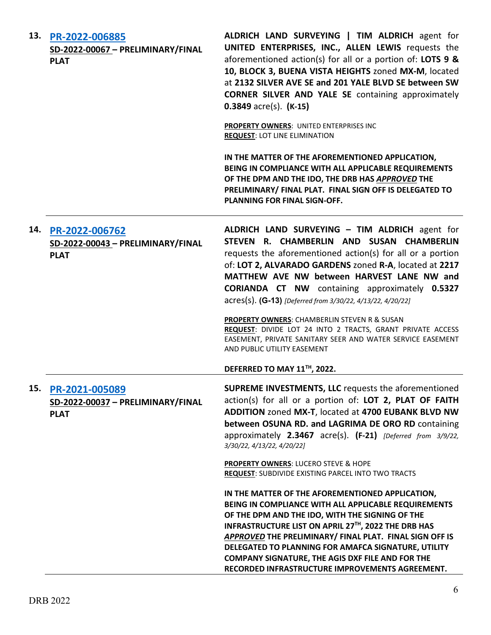|     | 13. PR-2022-006885<br>SD-2022-00067 - PRELIMINARY/FINAL<br><b>PLAT</b> | ALDRICH LAND SURVEYING   TIM ALDRICH agent for<br>UNITED ENTERPRISES, INC., ALLEN LEWIS requests the<br>aforementioned action(s) for all or a portion of: LOTS 9 &<br>10, BLOCK 3, BUENA VISTA HEIGHTS zoned MX-M, located<br>at 2132 SILVER AVE SE and 201 YALE BLVD SE between SW<br><b>CORNER SILVER AND YALE SE</b> containing approximately<br>$0.3849$ acre(s). (K-15)                                                                       |
|-----|------------------------------------------------------------------------|----------------------------------------------------------------------------------------------------------------------------------------------------------------------------------------------------------------------------------------------------------------------------------------------------------------------------------------------------------------------------------------------------------------------------------------------------|
|     |                                                                        | PROPERTY OWNERS: UNITED ENTERPRISES INC<br><b>REQUEST: LOT LINE ELIMINATION</b>                                                                                                                                                                                                                                                                                                                                                                    |
|     |                                                                        | IN THE MATTER OF THE AFOREMENTIONED APPLICATION,<br>BEING IN COMPLIANCE WITH ALL APPLICABLE REQUIREMENTS<br>OF THE DPM AND THE IDO, THE DRB HAS APPROVED THE<br>PRELIMINARY/ FINAL PLAT. FINAL SIGN OFF IS DELEGATED TO<br><b>PLANNING FOR FINAL SIGN-OFF.</b>                                                                                                                                                                                     |
|     | 14. PR-2022-006762<br>SD-2022-00043 - PRELIMINARY/FINAL<br><b>PLAT</b> | ALDRICH LAND SURVEYING - TIM ALDRICH agent for<br>STEVEN R. CHAMBERLIN AND SUSAN CHAMBERLIN<br>requests the aforementioned action(s) for all or a portion<br>of: LOT 2, ALVARADO GARDENS zoned R-A, located at 2217<br>MATTHEW AVE NW between HARVEST LANE NW and<br><b>CORIANDA CT NW</b> containing approximately 0.5327<br>acres(s). (G-13) [Deferred from 3/30/22, 4/13/22, 4/20/22]                                                           |
|     |                                                                        | <b>PROPERTY OWNERS: CHAMBERLIN STEVEN R &amp; SUSAN</b><br>REQUEST: DIVIDE LOT 24 INTO 2 TRACTS, GRANT PRIVATE ACCESS<br>EASEMENT, PRIVATE SANITARY SEER AND WATER SERVICE EASEMENT<br>AND PUBLIC UTILITY EASEMENT                                                                                                                                                                                                                                 |
|     |                                                                        | DEFERRED TO MAY 11™, 2022.                                                                                                                                                                                                                                                                                                                                                                                                                         |
| 15. | PR-2021-005089<br>SD-2022-00037 - PRELIMINARY/FINAL<br><b>PLAT</b>     | SUPREME INVESTMENTS, LLC requests the aforementioned<br>action(s) for all or a portion of: LOT 2, PLAT OF FAITH<br>ADDITION zoned MX-T, located at 4700 EUBANK BLVD NW<br>between OSUNA RD. and LAGRIMA DE ORO RD containing<br>approximately $2.3467$ acre(s). $(F-21)$ [Deferred from $3/9/22$ ,<br>3/30/22, 4/13/22, 4/20/22]                                                                                                                   |
|     |                                                                        | <b>PROPERTY OWNERS: LUCERO STEVE &amp; HOPE</b><br><b>REQUEST: SUBDIVIDE EXISTING PARCEL INTO TWO TRACTS</b>                                                                                                                                                                                                                                                                                                                                       |
|     |                                                                        | IN THE MATTER OF THE AFOREMENTIONED APPLICATION,<br>BEING IN COMPLIANCE WITH ALL APPLICABLE REQUIREMENTS<br>OF THE DPM AND THE IDO, WITH THE SIGNING OF THE<br>INFRASTRUCTURE LIST ON APRIL 27TH, 2022 THE DRB HAS<br>APPROVED THE PRELIMINARY/ FINAL PLAT. FINAL SIGN OFF IS<br>DELEGATED TO PLANNING FOR AMAFCA SIGNATURE, UTILITY<br><b>COMPANY SIGNATURE, THE AGIS DXF FILE AND FOR THE</b><br>RECORDED INFRASTRUCTURE IMPROVEMENTS AGREEMENT. |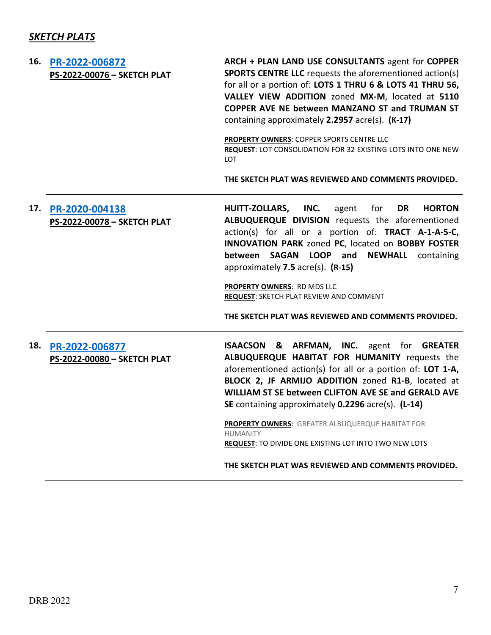# *SKETCH PLATS*

| 16. | PR-2022-006872<br>PS-2022-00076 - SKETCH PLAT | ARCH + PLAN LAND USE CONSULTANTS agent for COPPER<br><b>SPORTS CENTRE LLC</b> requests the aforementioned action(s)<br>for all or a portion of: LOTS 1 THRU 6 & LOTS 41 THRU 56,<br>VALLEY VIEW ADDITION zoned MX-M, located at 5110<br>COPPER AVE NE between MANZANO ST and TRUMAN ST<br>containing approximately 2.2957 acre(s). (K-17)<br>PROPERTY OWNERS: COPPER SPORTS CENTRE LLC<br><b>REQUEST: LOT CONSOLIDATION FOR 32 EXISTING LOTS INTO ONE NEW</b><br>LOT<br>THE SKETCH PLAT WAS REVIEWED AND COMMENTS PROVIDED. |
|-----|-----------------------------------------------|-----------------------------------------------------------------------------------------------------------------------------------------------------------------------------------------------------------------------------------------------------------------------------------------------------------------------------------------------------------------------------------------------------------------------------------------------------------------------------------------------------------------------------|
| 17. | PR-2020-004138<br>PS-2022-00078 - SKETCH PLAT | HUITT-ZOLLARS, INC.<br>for<br><b>HORTON</b><br>agent<br>DR<br>ALBUQUERQUE DIVISION requests the aforementioned<br>action(s) for all or a portion of: TRACT A-1-A-5-C,<br>INNOVATION PARK zoned PC, located on BOBBY FOSTER<br>SAGAN LOOP and<br>between<br><b>NEWHALL</b><br>containing<br>approximately 7.5 acre(s). (R-15)<br><b>PROPERTY OWNERS: RD MDS LLC</b><br><b>REQUEST: SKETCH PLAT REVIEW AND COMMENT</b><br>THE SKETCH PLAT WAS REVIEWED AND COMMENTS PROVIDED.                                                 |
| 18. | PR-2022-006877<br>PS-2022-00080 - SKETCH PLAT | ISAACSON & ARFMAN, INC. agent for GREATER<br>ALBUQUERQUE HABITAT FOR HUMANITY requests the<br>aforementioned action(s) for all or a portion of: LOT 1-A,<br>BLOCK 2, JF ARMIJO ADDITION zoned R1-B, located at<br>WILLIAM ST SE between CLIFTON AVE SE and GERALD AVE<br>SE containing approximately 0.2296 acre(s). (L-14)<br>PROPERTY OWNERS: GREATER ALBUQUERQUE HABITAT FOR<br><b>HUMANITY</b><br><b>REQUEST: TO DIVIDE ONE EXISTING LOT INTO TWO NEW LOTS</b><br>THE SKETCH PLAT WAS REVIEWED AND COMMENTS PROVIDED.   |